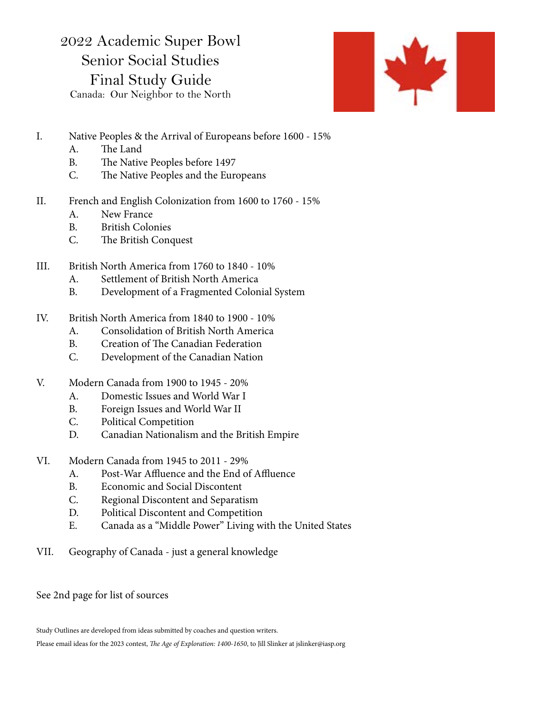# 2022 Academic Super Bowl Senior Social Studies Final Study Guide Canada: Our Neighbor to the North



- I. Native Peoples & the Arrival of Europeans before 1600 15%
	- A. The Land
	- B. The Native Peoples before 1497
	- C. The Native Peoples and the Europeans
- II. French and English Colonization from 1600 to 1760 15%
	- A. New France
	- B. British Colonies
	- C. The British Conquest
- III. British North America from 1760 to 1840 10%
	- A. Settlement of British North America
	- B. Development of a Fragmented Colonial System
- IV. British North America from 1840 to 1900 10%
	- A. Consolidation of British North America
	- B. Creation of The Canadian Federation
	- C. Development of the Canadian Nation
- V. Modern Canada from 1900 to 1945 20%
	- A. Domestic Issues and World War I
	- B. Foreign Issues and World War II
	- C. Political Competition
	- D. Canadian Nationalism and the British Empire
- VI. Modern Canada from 1945 to 2011 29%
	- A. Post-War Affluence and the End of Affluence
	- B. Economic and Social Discontent
	- C. Regional Discontent and Separatism
	- D. Political Discontent and Competition
	- E. Canada as a "Middle Power" Living with the United States
- VII. Geography of Canada just a general knowledge

## See 2nd page for list of sources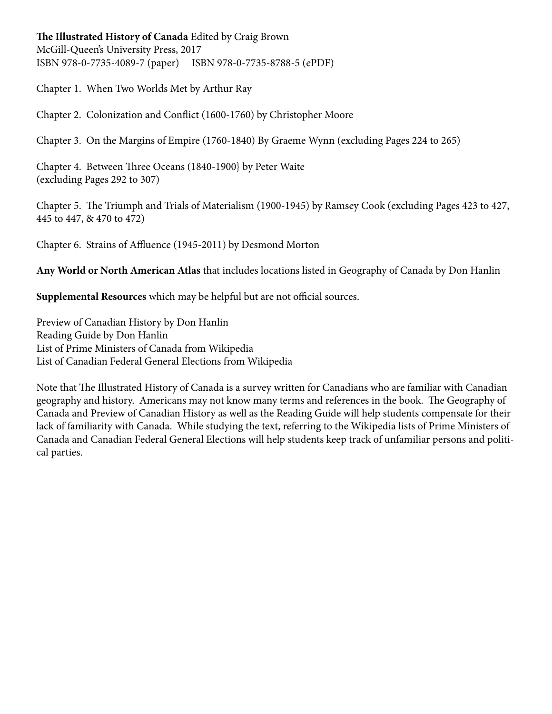**The Illustrated History of Canada** Edited by Craig Brown McGill-Queen's University Press, 2017 ISBN 978-0-7735-4089-7 (paper) ISBN 978-0-7735-8788-5 (ePDF)

Chapter 1. When Two Worlds Met by Arthur Ray

Chapter 2. Colonization and Conflict (1600-1760) by Christopher Moore

Chapter 3. On the Margins of Empire (1760-1840) By Graeme Wynn (excluding Pages 224 to 265)

Chapter 4. Between Three Oceans (1840-1900} by Peter Waite (excluding Pages 292 to 307)

Chapter 5. The Triumph and Trials of Materialism (1900-1945) by Ramsey Cook (excluding Pages 423 to 427, 445 to 447, & 470 to 472)

Chapter 6. Strains of Affluence (1945-2011) by Desmond Morton

**Any World or North American Atlas** that includes locations listed in Geography of Canada by Don Hanlin

**Supplemental Resources** which may be helpful but are not official sources.

Preview of Canadian History by Don Hanlin Reading Guide by Don Hanlin List of Prime Ministers of Canada from Wikipedia List of Canadian Federal General Elections from Wikipedia

Note that The Illustrated History of Canada is a survey written for Canadians who are familiar with Canadian geography and history. Americans may not know many terms and references in the book. The Geography of Canada and Preview of Canadian History as well as the Reading Guide will help students compensate for their lack of familiarity with Canada. While studying the text, referring to the Wikipedia lists of Prime Ministers of Canada and Canadian Federal General Elections will help students keep track of unfamiliar persons and political parties.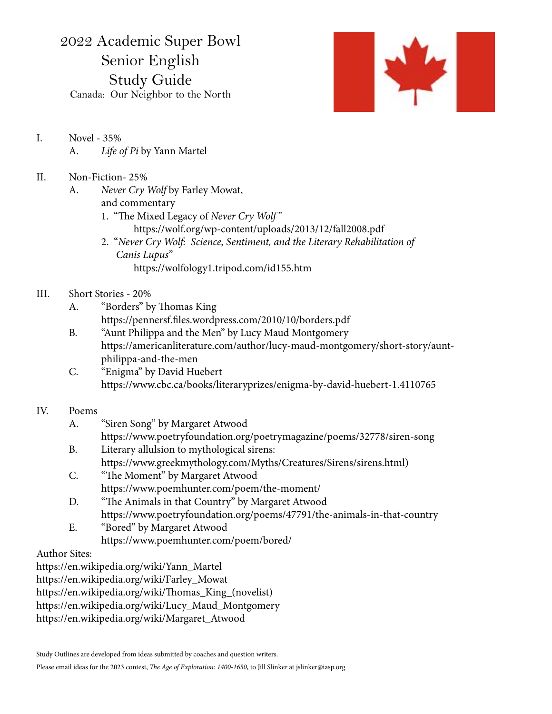2022 Academic Super Bowl Senior English Study Guide Canada: Our Neighbor to the North



I. Novel - 35% A. *Life of Pi* by Yann Martel

# II. Non-Fiction- 25%

- A. *Never Cry Wolf* by Farley Mowat, and commentary
	- 1. "The Mixed Legacy of *Never Cry Wolf"* https://wolf.org/wp-content/uploads/2013/12/fall2008.pdf
	- 2. "*Never Cry Wolf: Science, Sentiment, and the Literary Rehabilitation of Canis Lupus"* https://wolfology1.tripod.com/id155.htm

# III. Short Stories - 20%

- A. "Borders" by Thomas King https://pennersf.files.wordpress.com/2010/10/borders.pdf
- B. "Aunt Philippa and the Men" by Lucy Maud Montgomery https://americanliterature.com/author/lucy-maud-montgomery/short-story/aunt philippa-and-the-men
- C. "Enigma" by David Huebert https://www.cbc.ca/books/literaryprizes/enigma-by-david-huebert-1.4110765

# IV. Poems

- A. "Siren Song" by Margaret Atwood https://www.poetryfoundation.org/poetrymagazine/poems/32778/siren-song
- B. Literary allulsion to mythological sirens: https://www.greekmythology.com/Myths/Creatures/Sirens/sirens.html)
- C. "The Moment" by Margaret Atwood https://www.poemhunter.com/poem/the-moment/
- D. "The Animals in that Country" by Margaret Atwood
	- https://www.poetryfoundation.org/poems/47791/the-animals-in-that-country
- E. "Bored" by Margaret Atwood https://www.poemhunter.com/poem/bored/

## Author Sites:

https://en.wikipedia.org/wiki/Yann\_Martel

https://en.wikipedia.org/wiki/Farley\_Mowat

https://en.wikipedia.org/wiki/Thomas\_King\_(novelist)

https://en.wikipedia.org/wiki/Lucy\_Maud\_Montgomery

https://en.wikipedia.org/wiki/Margaret\_Atwood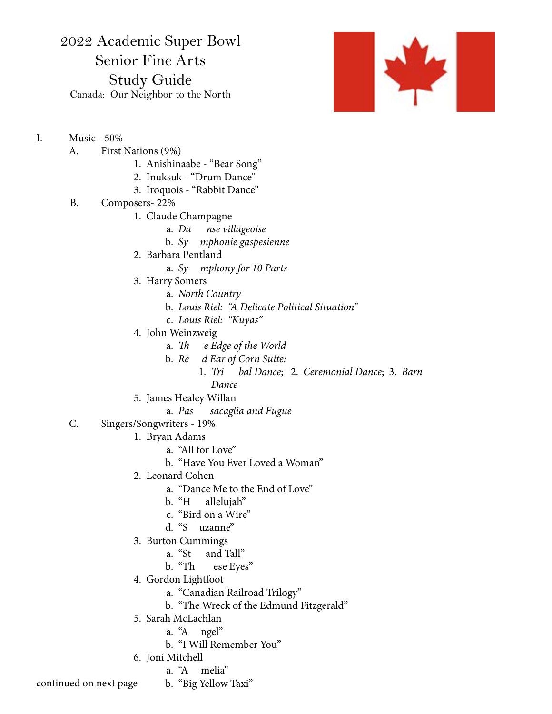2022 Academic Super Bowl Senior Fine Arts Study Guide Canada: Our Neighbor to the North



I. Music - 50%

## A. First Nations (9%)

- 1. Anishinaabe "Bear Song"
- 2. Inuksuk "Drum Dance"
- 3. Iroquois "Rabbit Dance"
- B. Composers- 22%
	- 1. Claude Champagne
		- a. *Da nse villageoise*
		- b. *Sy mphonie gaspesienne*
	- 2. Barbara Pentland
		- a. *Sy mphony for 10 Parts*
	- 3. Harry Somers
		- a. *North Country*
		- b. *Louis Riel: "A Delicate Political Situation"*
		- c. *Louis Riel: "Kuyas"*
	- 4. John Weinzweig
		- a. *Th e Edge of the World*
		- b. *Re d Ear of Corn Suite:*
			- 1. *Tri bal Dance*; 2. *Ceremonial Dance*; 3. *Barn*
			- *Dance*
	- 5. James Healey Willan
		- a. *Pas sacaglia and Fugue*
- C. Singers/Songwriters 19%
	- 1. Bryan Adams
		- a. "All for Love"
		- b. "Have You Ever Loved a Woman"
	- 2. Leonard Cohen
		- a. "Dance Me to the End of Love"
		- b. "H allelujah"
		- c. "Bird on a Wire"
		- d. "S uzanne"
	- 3. Burton Cummings
		- a. "St and Tall"<br>b. "Th ese Eyes
		- ese Eyes"
	- 4. Gordon Lightfoot
		- a. "Canadian Railroad Trilogy"
		- b. "The Wreck of the Edmund Fitzgerald"
	- 5. Sarah McLachlan
		- a. "A ngel"
		- b. "I Will Remember You"
	- 6. Joni Mitchell
		- a. "A melia"

continued on next page b. "Big Yellow Taxi"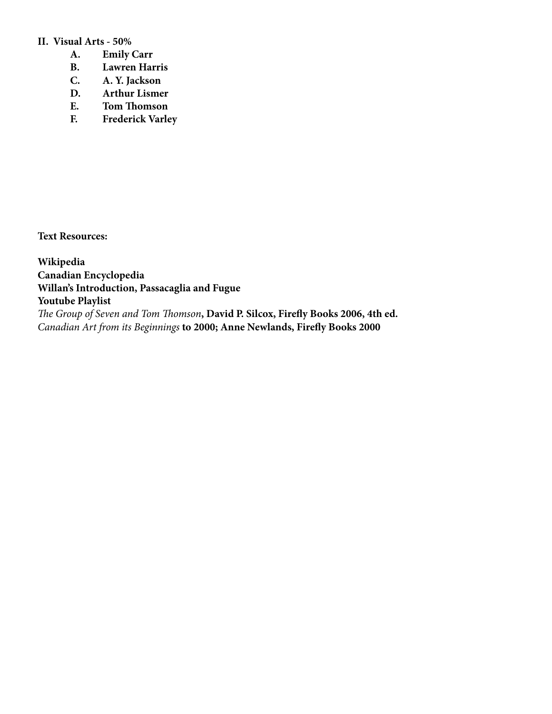## **II. Visual Arts - 50%**

- **A. Emily Carr**
- **B. Lawren Harris**
- **C. A. Y. Jackson**
- **D. Arthur Lismer**
- **E. Tom Thomson**
- **F. Frederick Varley**

**Text Resources:**

**Wikipedia Canadian Encyclopedia Willan's Introduction, Passacaglia and Fugue Youtube Playlist** *The Group of Seven and Tom Thomson***, David P. Silcox, Firefly Books 2006, 4th ed.** *Canadian Art from its Beginnings* **to 2000; Anne Newlands, Firefly Books 2000**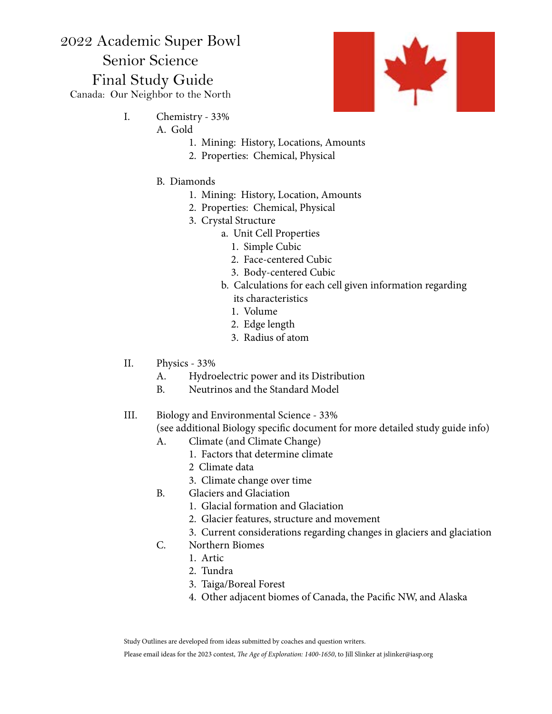2022 Academic Super Bowl Senior Science Final Study Guide Canada: Our Neighbor to the North



- I. Chemistry 33%
	- A. Gold
		- 1. Mining: History, Locations, Amounts
		- 2. Properties: Chemical, Physical
		- B. Diamonds
			- 1. Mining: History, Location, Amounts
			- 2. Properties: Chemical, Physical
			- 3. Crystal Structure
				- a. Unit Cell Properties
					- 1. Simple Cubic
					- 2. Face-centered Cubic
					- 3. Body-centered Cubic
				- b. Calculations for each cell given information regarding
					- its characteristics
					- 1. Volume
					- 2. Edge length
					- 3. Radius of atom
- II. Physics 33%
	- A. Hydroelectric power and its Distribution
	- B. Neutrinos and the Standard Model
- III. Biology and Environmental Science 33%
	- (see additional Biology specific document for more detailed study guide info)
	- A. Climate (and Climate Change)
		- 1. Factors that determine climate
		- 2 Climate data
		- 3. Climate change over time
	- B. Glaciers and Glaciation
		- 1. Glacial formation and Glaciation
		- 2. Glacier features, structure and movement
		- 3. Current considerations regarding changes in glaciers and glaciation
	- C. Northern Biomes
		- 1. Artic
		- 2. Tundra
		- 3. Taiga/Boreal Forest
		- 4. Other adjacent biomes of Canada, the Pacific NW, and Alaska